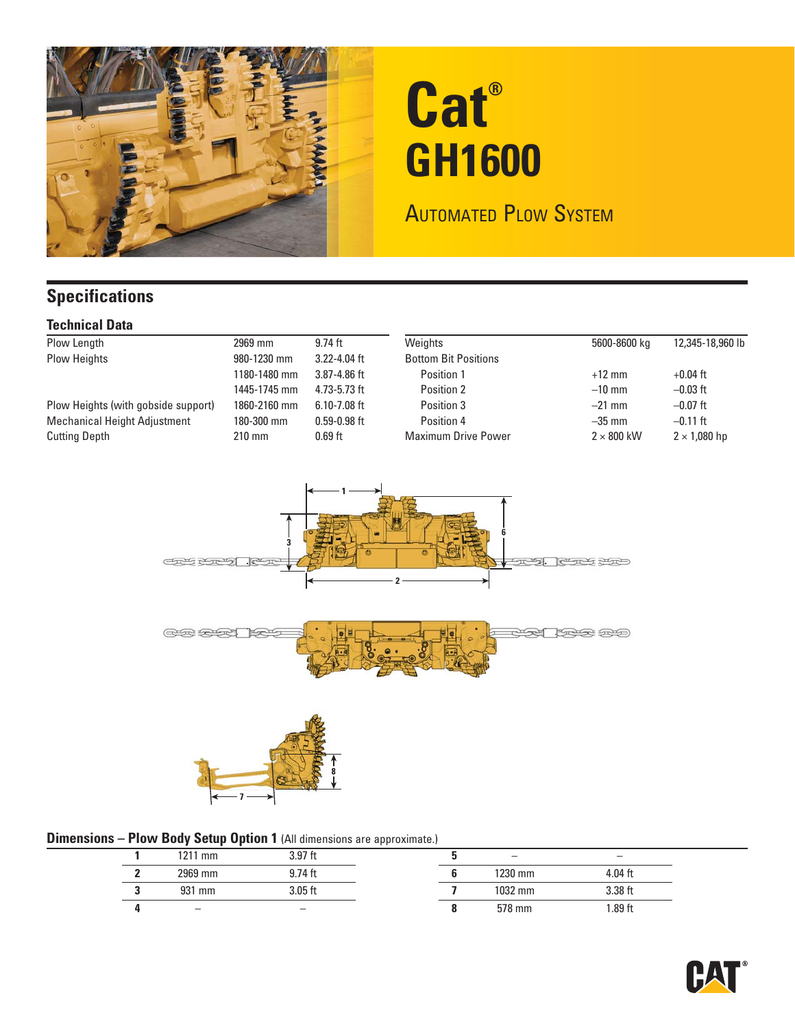

# **Cat® GH1600**

## AUTOMATED PLOW SYSTEM

## **Specifications**

#### **Technical Data**

| Plow Length                         | 2969 mm          | $9.74$ ft        | Weights                     | 5600-8600 kg      | 12,345-18,960 lb    |
|-------------------------------------|------------------|------------------|-----------------------------|-------------------|---------------------|
| <b>Plow Heights</b>                 | 980-1230 mm      | $3.22 - 4.04$ ft | <b>Bottom Bit Positions</b> |                   |                     |
|                                     | 1180-1480 mm     | $3.87 - 4.86$ ft | Position 1                  | $+12$ mm          | +0.04 ft            |
|                                     | 1445-1745 mm     | $4.73 - 5.73$ ft | Position 2                  | $-10$ mm          | $-0.03$ ft          |
| Plow Heights (with gobside support) | 1860-2160 mm     | $6.10 - 7.08$ ft | Position 3                  | $-21$ mm          | $-0.07$ ft          |
| <b>Mechanical Height Adjustment</b> | 180-300 mm       | $0.59 - 0.98$ ft | Position 4                  | $-35$ mm          | $-0.11$ ft          |
| <b>Cutting Depth</b>                | $210 \text{ mm}$ | $0.69$ ft        | <b>Maximum Drive Power</b>  | $2 \times 800$ kW | $2 \times 1,080$ hp |



#### **Dimensions - Plow Body Setup Option 1 (All dimensions are approximate.)**

|  |                          |           | . . |                          |           |  |
|--|--------------------------|-----------|-----|--------------------------|-----------|--|
|  | 1211 mm                  | 3.97 ft   |     | $\overline{\phantom{m}}$ |           |  |
|  | 2969 mm                  | $9.74$ ft |     | 1230 mm                  | $4.04$ ft |  |
|  | 931 mm                   | 3.05 ft   |     | 1032 mm                  | 3.38 ft   |  |
|  | $\overline{\phantom{0}}$ |           |     | 578 mm                   | .89 ft    |  |
|  |                          |           |     |                          |           |  |

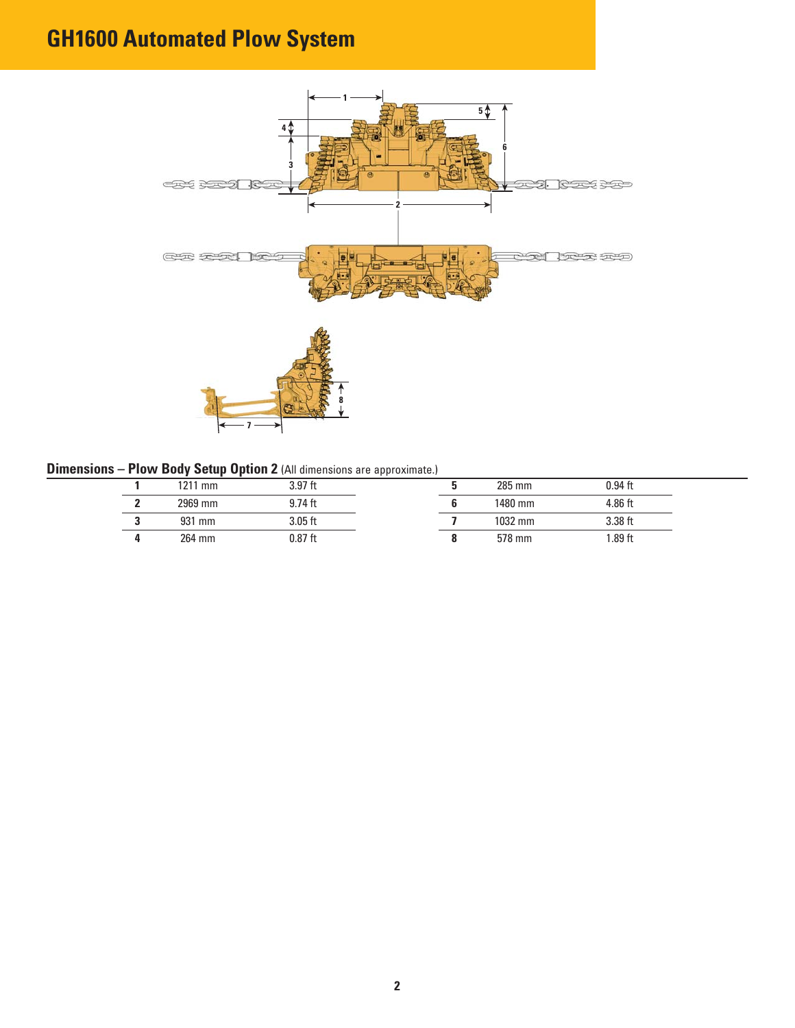# **GH1600 Automated Plow System**



#### **Dimensions – Plow Body Setup Option 2** (All dimensions are approximate.)

| 1211 mm | 3.97 ft   |  | 285 mm  | $0.94$ ft |
|---------|-----------|--|---------|-----------|
| 2969 mm | $9.74$ ft |  | 1480 mm | 4.86 ft   |
| 931 mm  | 3.05 ft   |  | 1032 mm | 3.38 ft   |
| 264 mm  | 0.87 ft   |  | 578 mm  | 1.89 ft   |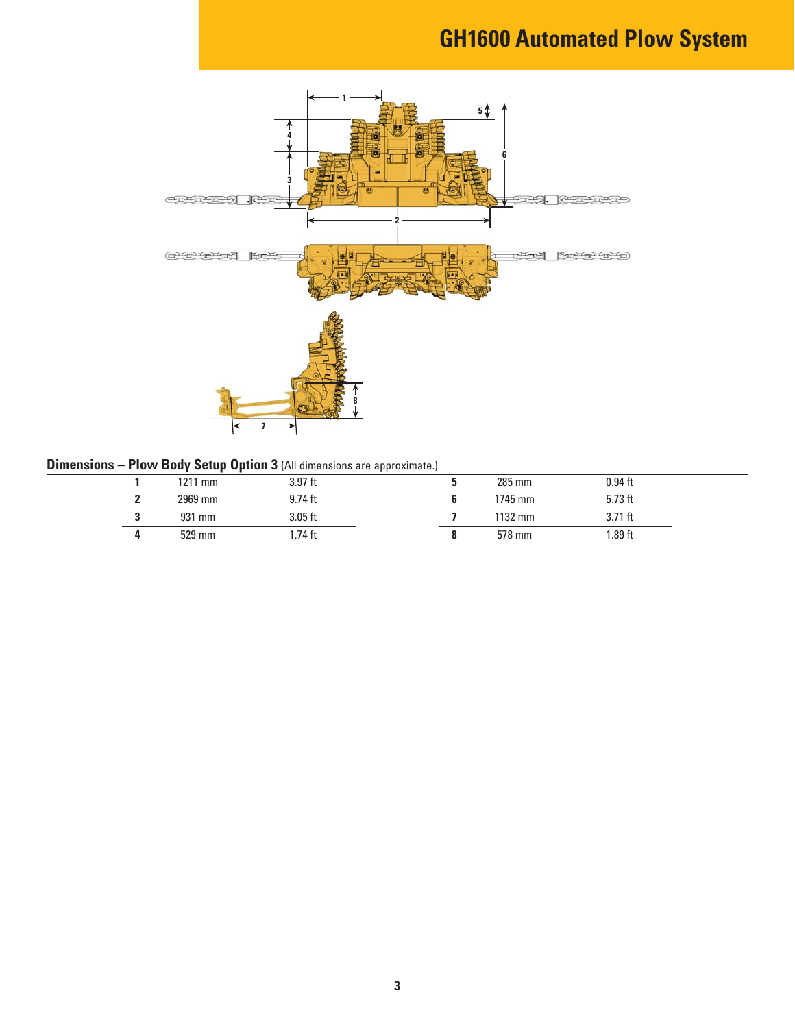# **GH1600 Automated Plow System**



#### **Dimensions – Plow Body Setup Option 3** (All dimensions are approximate.)

| 1211 mm | 3.97 ft   |  | 285 mm  | $0.94$ ft |
|---------|-----------|--|---------|-----------|
| 2969 mm | $9.74$ ft |  | 1745 mm | $5.73$ ft |
| 931 mm  | 3.05 ft   |  | 1132 mm | $3.71$ ft |
| 529 mm  | .74 ft    |  | 578 mm  | $.89$ ft  |